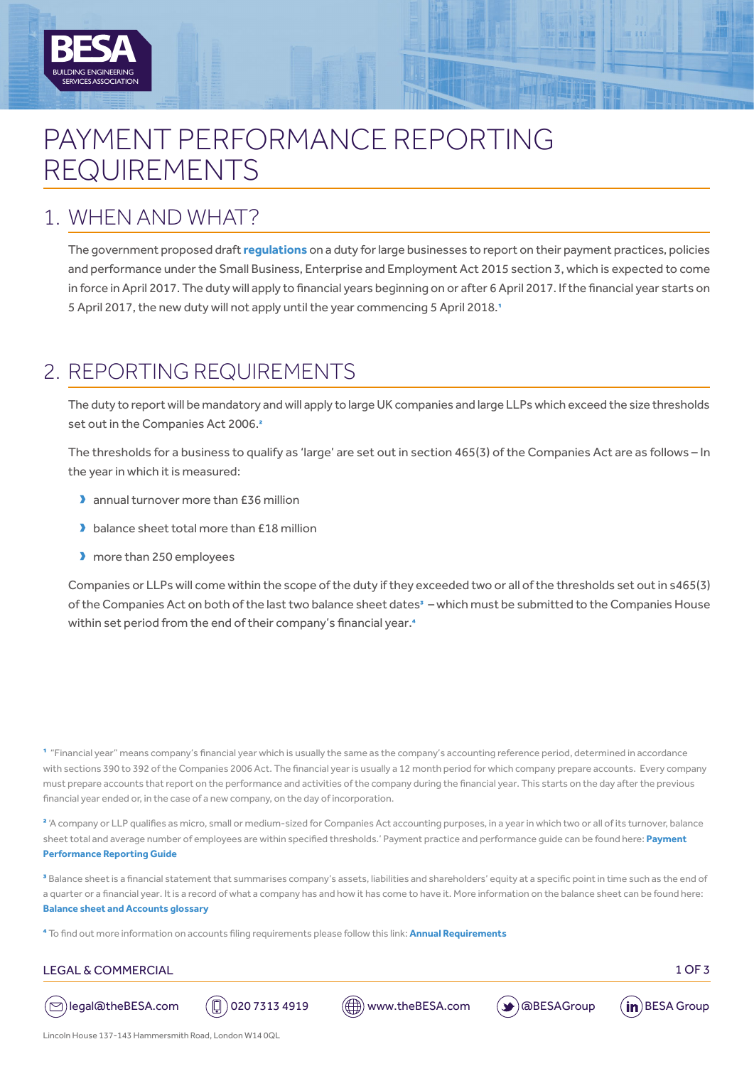# PAYMENT PERFORMANCE REPORTING REQUIREMENTS

### 1. WHEN AND WHAT?

BUILDING ENGINEERING

SERVICES ASSOCIATION

**A**

The government proposed draft **[regulations](http://www.legislation.gov.uk/ukdsi/2017/9780111153598/pdfs/ukdsi_9780111153598_en.pdf)** on a duty for large businesses to report on their payment practices, policies and performance under the Small Business, Enterprise and Employment Act 2015 section 3, which is expected to come in force in April 2017. The duty will apply to financial years beginning on or after 6 April 2017. If the financial year starts on 5 April 2017, the new duty will not apply until the year commencing 5 April 2018.<sup>1</sup>

## 2. REPORTING REQUIREMENTS

The duty to report will be mandatory and will apply to large UK companies and large LLPs which exceed the size thresholds set out in the Companies Act 2006.<sup>2</sup>

The thresholds for a business to qualify as 'large' are set out in section 465(3) of the Companies Act are as follows – In the year in which it is measured:

- **D** annual turnover more than £36 million
- balance sheet total more than £18 million
- **D** more than 250 employees

Companies or LLPs will come within the scope of the duty if they exceeded two or all of the thresholds set out in s465(3) of the Companies Act on both of the last two balance sheet dates<sup>3</sup> – which must be submitted to the Companies House within set period from the end of their company's financial year.<sup>4</sup>

1 "Financial year" means company's financial year which is usually the same as the company's accounting reference period, determined in accordance with sections 390 to 392 of the Companies 2006 Act. The financial year is usually a 12 month period for which company prepare accounts. Every company must prepare accounts that report on the performance and activities of the company during the financial year. This starts on the day after the previous financial year ended or, in the case of a new company, on the day of incorporation.

<sup>2</sup> 'A company or LLP qualifies as micro, small or medium-sized for Companies Act accounting purposes, in a year in which two or all of its turnover, balance sheet total and average number of employees are within specified thresholds.' Payment practice and performance guide can be found here: **[Payment](https://www.gov.uk/government/uploads/system/uploads/attachment_data/file/587465/payment-practices-performance-reporting-requirements.pdf)  [Performance Reporting Guide](https://www.gov.uk/government/uploads/system/uploads/attachment_data/file/587465/payment-practices-performance-reporting-requirements.pdf)**

<sup>3</sup> Balance sheet is a financial statement that summarises company's assets, liabilities and shareholders' equity at a specific point in time such as the end of a quarter or a financial year. It is a record of what a company has and how it has come to have it. More information on the balance sheet can be found here: **[Balance sheet and Accounts glossary](https://ewf.companieshouse.gov.uk/help/en/stdwf/accountsHelp.html)** 

4 To find out more information on accounts filing requirements please follow this link: **[Annual Requirements](https://www.gov.uk/government/publications/life-of-a-company-annual-requirements)**

#### LEGAL & COMMERCIAL 2007 2008 12:00 12:00 12:00 12:00 12:00 13:00 13:00 13:00 13:00 13:00 13:00 13:00 13:00 13:00 13:00 13:00 13:00 13:00 13:00 13:00 13:00 13:00 13:00 13:00 13:00 13:00 13:00 13:00 13:00 13:00 13:00 13:00 1











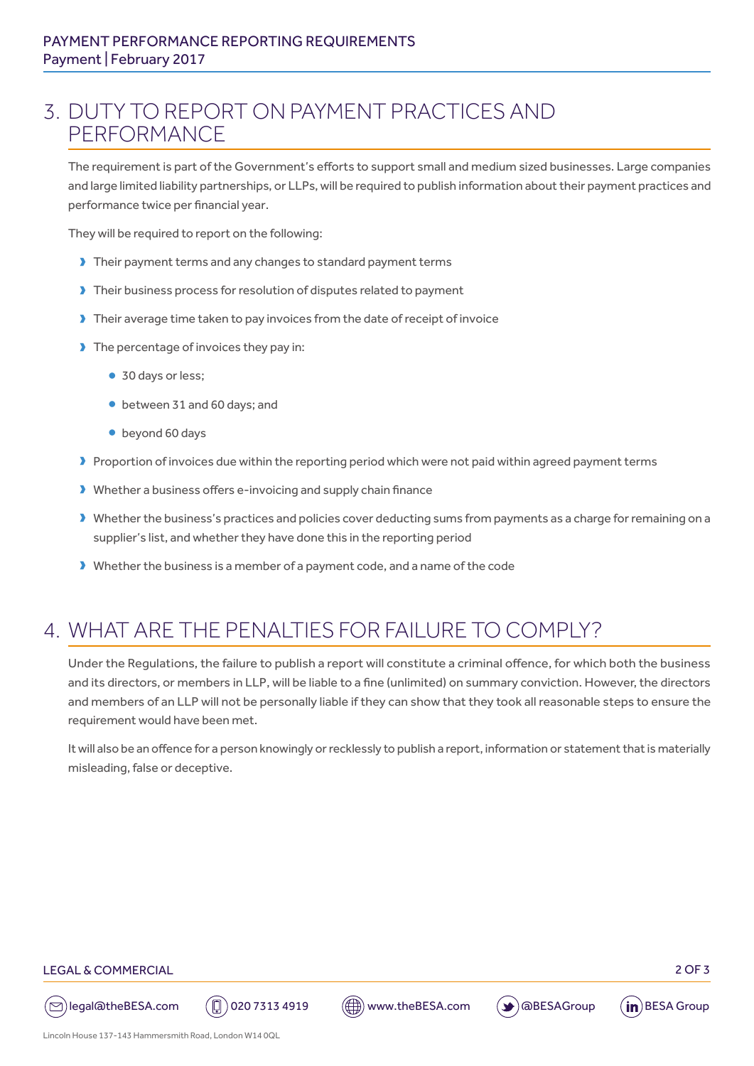### 3. DUTY TO REPORT ON PAYMENT PRACTICES AND PERFORMANCE

The requirement is part of the Government's efforts to support small and medium sized businesses. Large companies and large limited liability partnerships, or LLPs, will be required to publish information about their payment practices and performance twice per financial year.

They will be required to report on the following:

- I Their payment terms and any changes to standard payment terms
- If Their business process for resolution of disputes related to payment
- I Their average time taken to pay invoices from the date of receipt of invoice
- $\blacktriangleright$  The percentage of invoices they pay in:
	- 30 days or less;
	- between 31 and 60 days; and
	- beyond 60 days
- Proportion of invoices due within the reporting period which were not paid within agreed payment terms
- D Whether a business offers e-invoicing and supply chain finance
- Dubther the business's practices and policies cover deducting sums from payments as a charge for remaining on a supplier's list, and whether they have done this in the reporting period
- Dubther the business is a member of a payment code, and a name of the code

# 4. WHAT ARE THE PENALTIES FOR FAILURE TO COMPLY?

Under the Regulations, the failure to publish a report will constitute a criminal offence, for which both the business and its directors, or members in LLP, will be liable to a fine (unlimited) on summary conviction. However, the directors and members of an LLP will not be personally liable if they can show that they took all reasonable steps to ensure the requirement would have been met.

It will also be an offence for a person knowingly or recklessly to publish a report, information or statement that is materially misleading, false or deceptive.

#### LEGAL & COMMERCIAL 2 OF 3